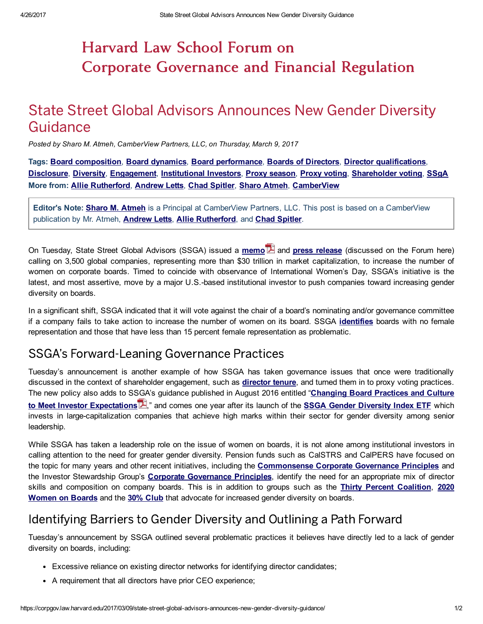# Harvard Law School Forum on Corporate Governance and Financial Regulation

## State Street Global Advisors Announces New Gender Diversity Guidance

Posted by Sharo M. Atmeh, CamberView Partners, LLC, on Thursday, March 9, 2017

Tags: <u>Board [composition,](https://corpgov.law.harvard.edu/tag/board-composition/) Board [dynamics,](https://corpgov.law.harvard.edu/tag/board-dynamics/) Board [performance,](https://corpgov.law.harvard.edu/tag/board-performance/) Boards of [Directors](https://corpgov.law.harvard.edu/tag/boards-of-directors/), Director [qualifications,](https://corpgov.law.harvard.edu/tag/director-qualifications/)</u>  [Disclosure](https://corpgov.law.harvard.edu/tag/disclosure/), Diversity, [Engagement](https://corpgov.law.harvard.edu/tag/engagement/), [Institutional](https://corpgov.law.harvard.edu/tag/institutional-investors/) Investors, Proxy [season,](https://corpgov.law.harvard.edu/tag/proxy-season/) Proxy [voting](https://corpgov.law.harvard.edu/tag/proxy-voting/), [Shareholder](https://corpgov.law.harvard.edu/tag/shareholder-voting/) voting, [SSgA](https://corpgov.law.harvard.edu/tag/ssga/) More from: Allie [Rutherford](https://corpgov.law.harvard.edu/contributor/allie-rutherford/), [Andrew](https://corpgov.law.harvard.edu/contributor/andrew-letts/) Letts, Chad [Spitler](https://corpgov.law.harvard.edu/contributor/chad-spitler/), Sharo [Atmeh,](https://corpgov.law.harvard.edu/contributor/sharo-atmeh/) [CamberView](https://corpgov.law.harvard.edu/lawfirm/camberview/)

Editor's Note: Sharo M. [Atmeh](http://www.camberview.com/Team/Bio/Sharo%20M%20%20Atmeh) is a Principal at CamberView Partners, LLC. This post is based on a CamberView publication by Mr. Atmeh, **[Andrew](http://www.camberview.com/Team/Bio/Andrew%20Letts) Letts, Allie [Rutherford](http://www.camberview.com/Team/Bio/Alesandra%20(Allie)%20M%20%20Rutherford)**, and **Chad [Spitler](http://www.camberview.com/Team/Bio/Chad%20Spitler)**.

On Tuesday, State Street Global Advisors (SSGA) issued a *[memo](https://www.ssga.com/investment-topics/environmental-social-governance/2017/guidance-on-enhancing-gender-diversity-on-boards.pdf)* **A** and *press [release](http://newsroom.statestreet.com/press-release/corporate/state-street-global-advisors-calls-3500-companies-representing-more-30-trill)* (discussed on the Forum here) calling on 3,500 global companies, representing more than \$30 trillion in market capitalization, to increase the number of women on corporate boards. Timed to coincide with observance of International Women's Day, SSGA's initiative is the latest, and most assertive, move by a major U.S.-based institutional investor to push companies toward increasing gender diversity on boards.

 In a significant shift, SSGA indicated that it will vote against the chair of a board's nominating and/or governance committee if a company fails to take action to increase the number of women on its board. SSGA [identifies](https://www.ssga.com/na/us/institutional-investor/en/investment-goals/environmental-social-governance-esg/enhancing-gender-diversity-on-boards.html) boards with no female representation and those that have less than 15 percent female representation as problematic.

#### SSGA's Forward-Leaning Governance Practices

 Tuesday's announcement is another example of how SSGA has taken governance issues that once were traditionally discussed in the context of shareholder engagement, such as **[director](https://corpgov.law.harvard.edu/2014/05/25/board-refreshment-and-director-succession-in-investee-companies/) tenure**, and turned them in to proxy voting practices. The new policy also adds to SSGA's guidance published in August 2016 entitled "Changing Board Practices and Culture to Meet Investor Expectations  $\mathbb{Z}$ ," and comes one year after its launch of the SSGA Gender Diversity Index ETF which invests in large-capitalization companies that achieve high marks within their sector for gender diversity among senior leadership.

 While SSGA has taken a leadership role on the issue of women on boards, it is not alone among institutional investors in calling attention to the need for greater gender diversity. Pension funds such as CalSTRS and CalPERS have focused on the topic for many years and other recent initiatives, including the [Commonsense](http://www.governanceprinciples.org/) Corporate Governance Principles and the Investor Stewardship Group's Corporate [Governance](https://www.isgframework.org/corporate-governance-principles/) Principles, identify the need for an appropriate mix of director skills and composition on company boards. This is in addition to groups such as the Thirty Percent [Coalition,](https://www.30percentcoalition.org/) 2020 Women on Boards and the 30% [Club](https://30percentclub.org/) that advocate for increased gender diversity on boards.

### Identifying Barriers to Gender Diversity and Outlining a Path Forward

 Tuesday's announcement by SSGA outlined several problematic practices it believes have directly led to a lack of gender diversity on boards, including:

- Excessive reliance on existing director networks for identifying director candidates;
- A requirement that all directors have prior CEO experience;